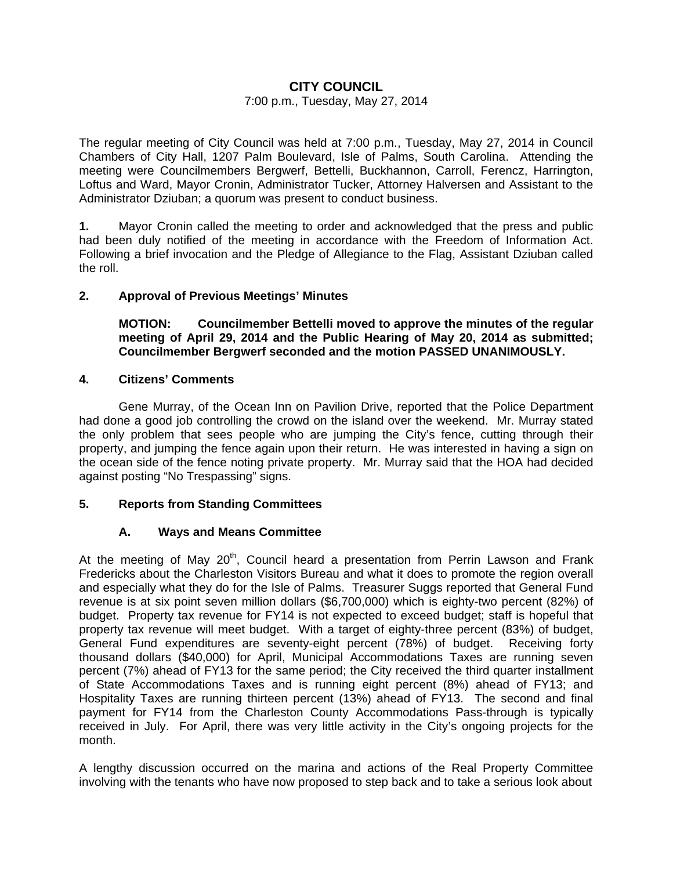# **CITY COUNCIL**

### 7:00 p.m., Tuesday, May 27, 2014

The regular meeting of City Council was held at 7:00 p.m., Tuesday, May 27, 2014 in Council Chambers of City Hall, 1207 Palm Boulevard, Isle of Palms, South Carolina. Attending the meeting were Councilmembers Bergwerf, Bettelli, Buckhannon, Carroll, Ferencz, Harrington, Loftus and Ward, Mayor Cronin, Administrator Tucker, Attorney Halversen and Assistant to the Administrator Dziuban; a quorum was present to conduct business.

**1.** Mayor Cronin called the meeting to order and acknowledged that the press and public had been duly notified of the meeting in accordance with the Freedom of Information Act. Following a brief invocation and the Pledge of Allegiance to the Flag, Assistant Dziuban called the roll.

## **2. Approval of Previous Meetings' Minutes**

 **MOTION: Councilmember Bettelli moved to approve the minutes of the regular meeting of April 29, 2014 and the Public Hearing of May 20, 2014 as submitted; Councilmember Bergwerf seconded and the motion PASSED UNANIMOUSLY.** 

## **4. Citizens' Comments**

Gene Murray, of the Ocean Inn on Pavilion Drive, reported that the Police Department had done a good job controlling the crowd on the island over the weekend. Mr. Murray stated the only problem that sees people who are jumping the City's fence, cutting through their property, and jumping the fence again upon their return. He was interested in having a sign on the ocean side of the fence noting private property. Mr. Murray said that the HOA had decided against posting "No Trespassing" signs.

## **5. Reports from Standing Committees**

## **A. Ways and Means Committee**

At the meeting of May  $20<sup>th</sup>$ , Council heard a presentation from Perrin Lawson and Frank Fredericks about the Charleston Visitors Bureau and what it does to promote the region overall and especially what they do for the Isle of Palms. Treasurer Suggs reported that General Fund revenue is at six point seven million dollars (\$6,700,000) which is eighty-two percent (82%) of budget. Property tax revenue for FY14 is not expected to exceed budget; staff is hopeful that property tax revenue will meet budget. With a target of eighty-three percent (83%) of budget, General Fund expenditures are seventy-eight percent (78%) of budget. Receiving forty thousand dollars (\$40,000) for April, Municipal Accommodations Taxes are running seven percent (7%) ahead of FY13 for the same period; the City received the third quarter installment of State Accommodations Taxes and is running eight percent (8%) ahead of FY13; and Hospitality Taxes are running thirteen percent (13%) ahead of FY13. The second and final payment for FY14 from the Charleston County Accommodations Pass-through is typically received in July. For April, there was very little activity in the City's ongoing projects for the month.

A lengthy discussion occurred on the marina and actions of the Real Property Committee involving with the tenants who have now proposed to step back and to take a serious look about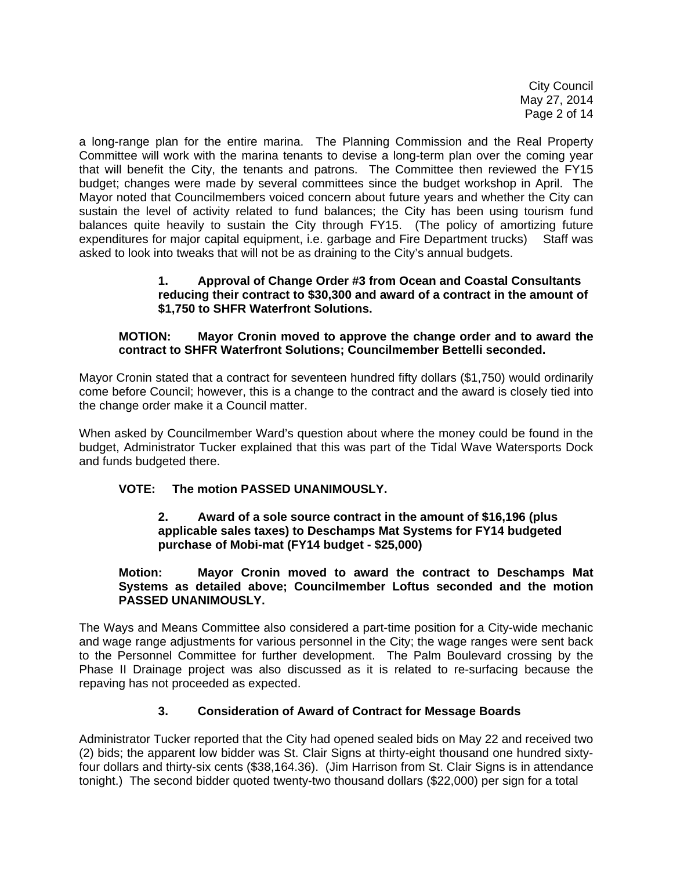City Council May 27, 2014 Page 2 of 14

a long-range plan for the entire marina. The Planning Commission and the Real Property Committee will work with the marina tenants to devise a long-term plan over the coming year that will benefit the City, the tenants and patrons. The Committee then reviewed the FY15 budget; changes were made by several committees since the budget workshop in April. The Mayor noted that Councilmembers voiced concern about future years and whether the City can sustain the level of activity related to fund balances; the City has been using tourism fund balances quite heavily to sustain the City through FY15. (The policy of amortizing future expenditures for major capital equipment, i.e. garbage and Fire Department trucks) Staff was asked to look into tweaks that will not be as draining to the City's annual budgets.

## **1. Approval of Change Order #3 from Ocean and Coastal Consultants reducing their contract to \$30,300 and award of a contract in the amount of \$1,750 to SHFR Waterfront Solutions.**

# **MOTION: Mayor Cronin moved to approve the change order and to award the contract to SHFR Waterfront Solutions; Councilmember Bettelli seconded.**

Mayor Cronin stated that a contract for seventeen hundred fifty dollars (\$1,750) would ordinarily come before Council; however, this is a change to the contract and the award is closely tied into the change order make it a Council matter.

When asked by Councilmember Ward's question about where the money could be found in the budget, Administrator Tucker explained that this was part of the Tidal Wave Watersports Dock and funds budgeted there.

# **VOTE: The motion PASSED UNANIMOUSLY.**

## **2. Award of a sole source contract in the amount of \$16,196 (plus applicable sales taxes) to Deschamps Mat Systems for FY14 budgeted purchase of Mobi-mat (FY14 budget - \$25,000)**

 **Motion: Mayor Cronin moved to award the contract to Deschamps Mat Systems as detailed above; Councilmember Loftus seconded and the motion PASSED UNANIMOUSLY.** 

The Ways and Means Committee also considered a part-time position for a City-wide mechanic and wage range adjustments for various personnel in the City; the wage ranges were sent back to the Personnel Committee for further development. The Palm Boulevard crossing by the Phase II Drainage project was also discussed as it is related to re-surfacing because the repaving has not proceeded as expected.

## **3. Consideration of Award of Contract for Message Boards**

Administrator Tucker reported that the City had opened sealed bids on May 22 and received two (2) bids; the apparent low bidder was St. Clair Signs at thirty-eight thousand one hundred sixtyfour dollars and thirty-six cents (\$38,164.36). (Jim Harrison from St. Clair Signs is in attendance tonight.) The second bidder quoted twenty-two thousand dollars (\$22,000) per sign for a total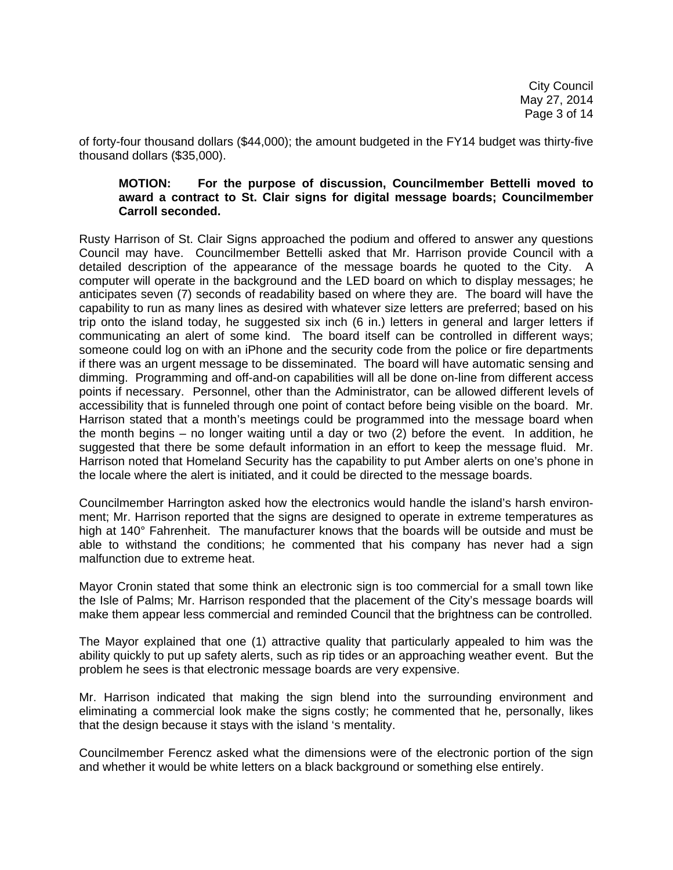of forty-four thousand dollars (\$44,000); the amount budgeted in the FY14 budget was thirty-five thousand dollars (\$35,000).

#### **MOTION: For the purpose of discussion, Councilmember Bettelli moved to award a contract to St. Clair signs for digital message boards; Councilmember Carroll seconded.**

Rusty Harrison of St. Clair Signs approached the podium and offered to answer any questions Council may have. Councilmember Bettelli asked that Mr. Harrison provide Council with a detailed description of the appearance of the message boards he quoted to the City. A computer will operate in the background and the LED board on which to display messages; he anticipates seven (7) seconds of readability based on where they are. The board will have the capability to run as many lines as desired with whatever size letters are preferred; based on his trip onto the island today, he suggested six inch (6 in.) letters in general and larger letters if communicating an alert of some kind. The board itself can be controlled in different ways; someone could log on with an iPhone and the security code from the police or fire departments if there was an urgent message to be disseminated. The board will have automatic sensing and dimming. Programming and off-and-on capabilities will all be done on-line from different access points if necessary. Personnel, other than the Administrator, can be allowed different levels of accessibility that is funneled through one point of contact before being visible on the board. Mr. Harrison stated that a month's meetings could be programmed into the message board when the month begins – no longer waiting until a day or two (2) before the event. In addition, he suggested that there be some default information in an effort to keep the message fluid. Mr. Harrison noted that Homeland Security has the capability to put Amber alerts on one's phone in the locale where the alert is initiated, and it could be directed to the message boards.

Councilmember Harrington asked how the electronics would handle the island's harsh environment; Mr. Harrison reported that the signs are designed to operate in extreme temperatures as high at 140° Fahrenheit. The manufacturer knows that the boards will be outside and must be able to withstand the conditions; he commented that his company has never had a sign malfunction due to extreme heat.

Mayor Cronin stated that some think an electronic sign is too commercial for a small town like the Isle of Palms; Mr. Harrison responded that the placement of the City's message boards will make them appear less commercial and reminded Council that the brightness can be controlled.

The Mayor explained that one (1) attractive quality that particularly appealed to him was the ability quickly to put up safety alerts, such as rip tides or an approaching weather event. But the problem he sees is that electronic message boards are very expensive.

Mr. Harrison indicated that making the sign blend into the surrounding environment and eliminating a commercial look make the signs costly; he commented that he, personally, likes that the design because it stays with the island 's mentality.

Councilmember Ferencz asked what the dimensions were of the electronic portion of the sign and whether it would be white letters on a black background or something else entirely.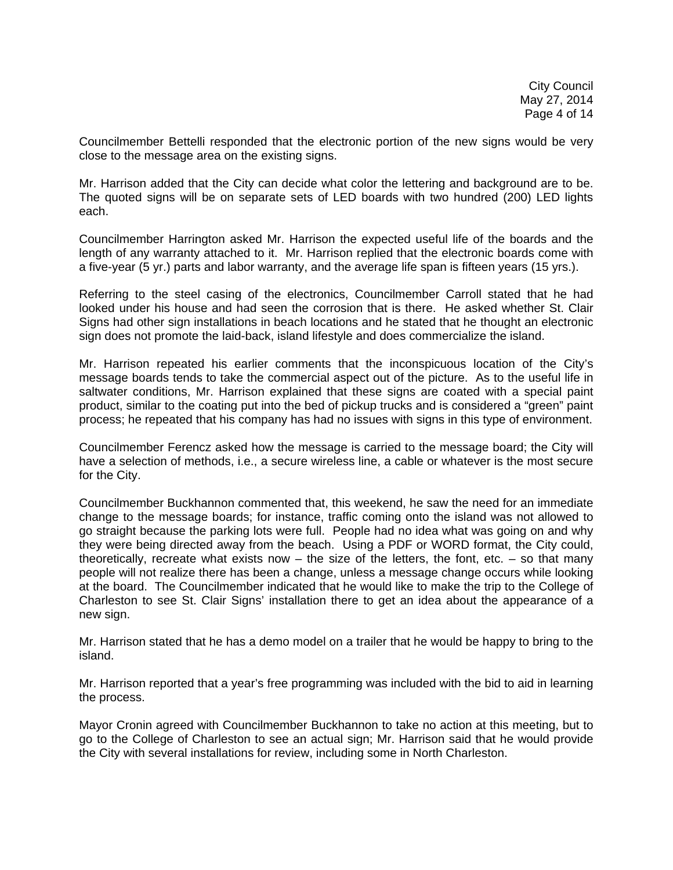Councilmember Bettelli responded that the electronic portion of the new signs would be very close to the message area on the existing signs.

Mr. Harrison added that the City can decide what color the lettering and background are to be. The quoted signs will be on separate sets of LED boards with two hundred (200) LED lights each.

Councilmember Harrington asked Mr. Harrison the expected useful life of the boards and the length of any warranty attached to it. Mr. Harrison replied that the electronic boards come with a five-year (5 yr.) parts and labor warranty, and the average life span is fifteen years (15 yrs.).

Referring to the steel casing of the electronics, Councilmember Carroll stated that he had looked under his house and had seen the corrosion that is there. He asked whether St. Clair Signs had other sign installations in beach locations and he stated that he thought an electronic sign does not promote the laid-back, island lifestyle and does commercialize the island.

Mr. Harrison repeated his earlier comments that the inconspicuous location of the City's message boards tends to take the commercial aspect out of the picture. As to the useful life in saltwater conditions, Mr. Harrison explained that these signs are coated with a special paint product, similar to the coating put into the bed of pickup trucks and is considered a "green" paint process; he repeated that his company has had no issues with signs in this type of environment.

Councilmember Ferencz asked how the message is carried to the message board; the City will have a selection of methods, i.e., a secure wireless line, a cable or whatever is the most secure for the City.

Councilmember Buckhannon commented that, this weekend, he saw the need for an immediate change to the message boards; for instance, traffic coming onto the island was not allowed to go straight because the parking lots were full. People had no idea what was going on and why they were being directed away from the beach. Using a PDF or WORD format, the City could, theoretically, recreate what exists now – the size of the letters, the font, etc. – so that many people will not realize there has been a change, unless a message change occurs while looking at the board. The Councilmember indicated that he would like to make the trip to the College of Charleston to see St. Clair Signs' installation there to get an idea about the appearance of a new sign.

Mr. Harrison stated that he has a demo model on a trailer that he would be happy to bring to the island.

Mr. Harrison reported that a year's free programming was included with the bid to aid in learning the process.

Mayor Cronin agreed with Councilmember Buckhannon to take no action at this meeting, but to go to the College of Charleston to see an actual sign; Mr. Harrison said that he would provide the City with several installations for review, including some in North Charleston.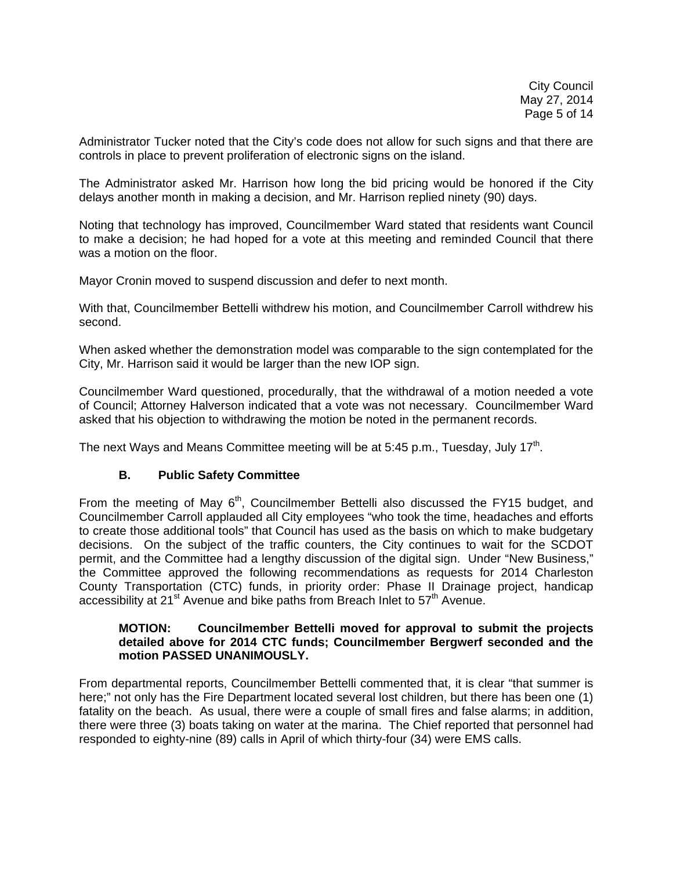Administrator Tucker noted that the City's code does not allow for such signs and that there are controls in place to prevent proliferation of electronic signs on the island.

The Administrator asked Mr. Harrison how long the bid pricing would be honored if the City delays another month in making a decision, and Mr. Harrison replied ninety (90) days.

Noting that technology has improved, Councilmember Ward stated that residents want Council to make a decision; he had hoped for a vote at this meeting and reminded Council that there was a motion on the floor.

Mayor Cronin moved to suspend discussion and defer to next month.

With that, Councilmember Bettelli withdrew his motion, and Councilmember Carroll withdrew his second.

When asked whether the demonstration model was comparable to the sign contemplated for the City, Mr. Harrison said it would be larger than the new IOP sign.

Councilmember Ward questioned, procedurally, that the withdrawal of a motion needed a vote of Council; Attorney Halverson indicated that a vote was not necessary. Councilmember Ward asked that his objection to withdrawing the motion be noted in the permanent records.

The next Ways and Means Committee meeting will be at 5:45 p.m., Tuesday, July 17<sup>th</sup>.

#### **B. Public Safety Committee**

From the meeting of May  $6<sup>th</sup>$ , Councilmember Bettelli also discussed the FY15 budget, and Councilmember Carroll applauded all City employees "who took the time, headaches and efforts to create those additional tools" that Council has used as the basis on which to make budgetary decisions. On the subject of the traffic counters, the City continues to wait for the SCDOT permit, and the Committee had a lengthy discussion of the digital sign. Under "New Business," the Committee approved the following recommendations as requests for 2014 Charleston County Transportation (CTC) funds, in priority order: Phase II Drainage project, handicap accessibility at  $21^{st}$  Avenue and bike paths from Breach Inlet to  $57^{th}$  Avenue.

### **MOTION: Councilmember Bettelli moved for approval to submit the projects detailed above for 2014 CTC funds; Councilmember Bergwerf seconded and the motion PASSED UNANIMOUSLY.**

From departmental reports, Councilmember Bettelli commented that, it is clear "that summer is here;" not only has the Fire Department located several lost children, but there has been one (1) fatality on the beach. As usual, there were a couple of small fires and false alarms; in addition, there were three (3) boats taking on water at the marina. The Chief reported that personnel had responded to eighty-nine (89) calls in April of which thirty-four (34) were EMS calls.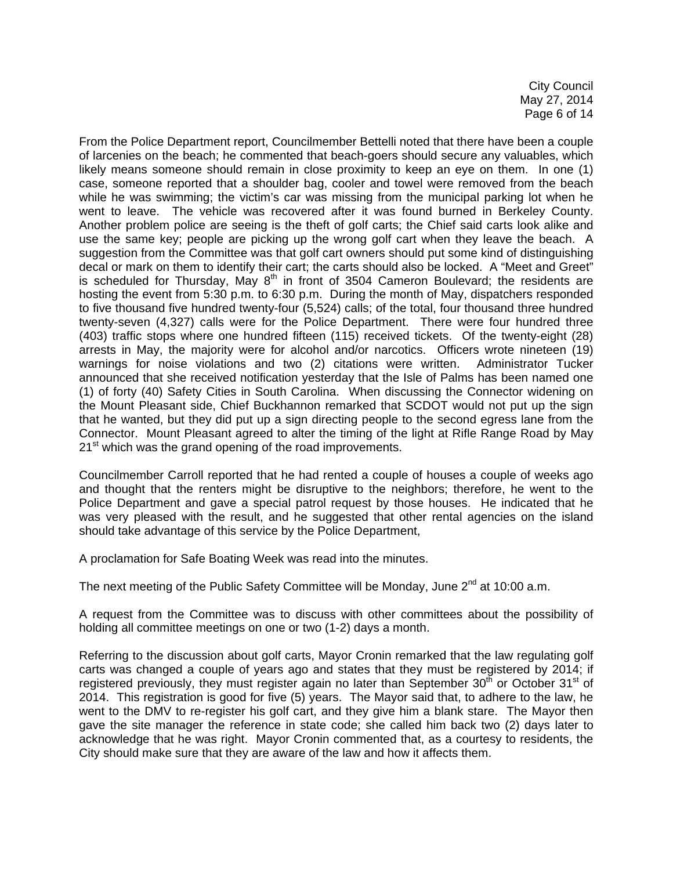City Council May 27, 2014 Page 6 of 14

From the Police Department report, Councilmember Bettelli noted that there have been a couple of larcenies on the beach; he commented that beach-goers should secure any valuables, which likely means someone should remain in close proximity to keep an eye on them. In one (1) case, someone reported that a shoulder bag, cooler and towel were removed from the beach while he was swimming; the victim's car was missing from the municipal parking lot when he went to leave. The vehicle was recovered after it was found burned in Berkeley County. Another problem police are seeing is the theft of golf carts; the Chief said carts look alike and use the same key; people are picking up the wrong golf cart when they leave the beach. A suggestion from the Committee was that golf cart owners should put some kind of distinguishing decal or mark on them to identify their cart; the carts should also be locked. A "Meet and Greet" is scheduled for Thursday, May  $8<sup>th</sup>$  in front of 3504 Cameron Boulevard; the residents are hosting the event from 5:30 p.m. to 6:30 p.m. During the month of May, dispatchers responded to five thousand five hundred twenty-four (5,524) calls; of the total, four thousand three hundred twenty-seven (4,327) calls were for the Police Department. There were four hundred three (403) traffic stops where one hundred fifteen (115) received tickets. Of the twenty-eight (28) arrests in May, the majority were for alcohol and/or narcotics. Officers wrote nineteen (19) warnings for noise violations and two (2) citations were written. Administrator Tucker announced that she received notification yesterday that the Isle of Palms has been named one (1) of forty (40) Safety Cities in South Carolina. When discussing the Connector widening on the Mount Pleasant side, Chief Buckhannon remarked that SCDOT would not put up the sign that he wanted, but they did put up a sign directing people to the second egress lane from the Connector. Mount Pleasant agreed to alter the timing of the light at Rifle Range Road by May 21<sup>st</sup> which was the grand opening of the road improvements.

Councilmember Carroll reported that he had rented a couple of houses a couple of weeks ago and thought that the renters might be disruptive to the neighbors; therefore, he went to the Police Department and gave a special patrol request by those houses. He indicated that he was very pleased with the result, and he suggested that other rental agencies on the island should take advantage of this service by the Police Department,

A proclamation for Safe Boating Week was read into the minutes.

The next meeting of the Public Safety Committee will be Monday, June 2<sup>nd</sup> at 10:00 a.m.

A request from the Committee was to discuss with other committees about the possibility of holding all committee meetings on one or two (1-2) days a month.

Referring to the discussion about golf carts, Mayor Cronin remarked that the law regulating golf carts was changed a couple of years ago and states that they must be registered by 2014; if registered previously, they must register again no later than September  $30<sup>th</sup>$  or October  $31<sup>st</sup>$  of 2014. This registration is good for five (5) years. The Mayor said that, to adhere to the law, he went to the DMV to re-register his golf cart, and they give him a blank stare. The Mayor then gave the site manager the reference in state code; she called him back two (2) days later to acknowledge that he was right. Mayor Cronin commented that, as a courtesy to residents, the City should make sure that they are aware of the law and how it affects them.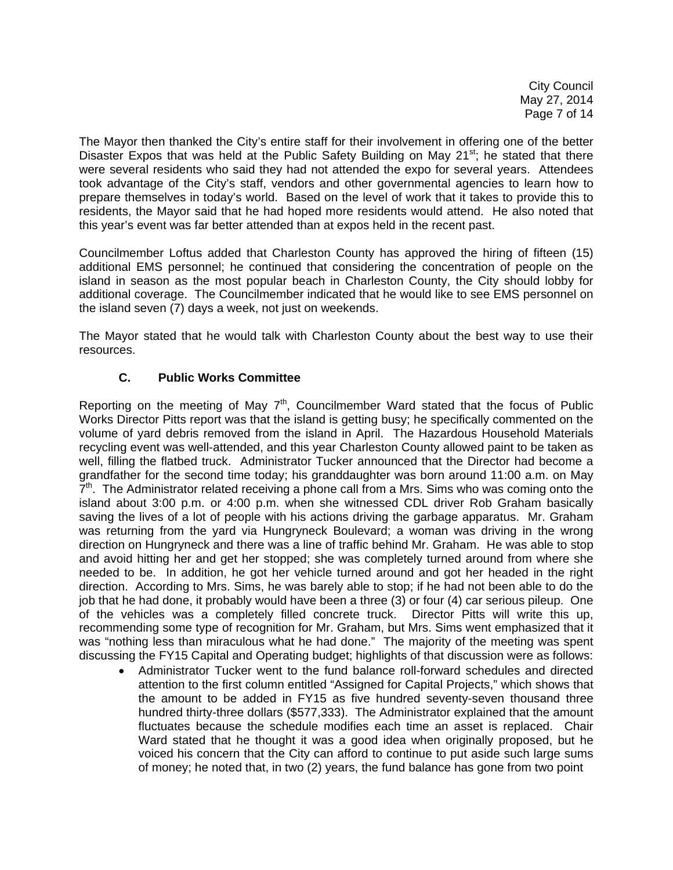City Council May 27, 2014 Page 7 of 14

The Mayor then thanked the City's entire staff for their involvement in offering one of the better Disaster Expos that was held at the Public Safety Building on May 21<sup>st</sup>; he stated that there were several residents who said they had not attended the expo for several years. Attendees took advantage of the City's staff, vendors and other governmental agencies to learn how to prepare themselves in today's world. Based on the level of work that it takes to provide this to residents, the Mayor said that he had hoped more residents would attend. He also noted that this year's event was far better attended than at expos held in the recent past.

Councilmember Loftus added that Charleston County has approved the hiring of fifteen (15) additional EMS personnel; he continued that considering the concentration of people on the island in season as the most popular beach in Charleston County, the City should lobby for additional coverage. The Councilmember indicated that he would like to see EMS personnel on the island seven (7) days a week, not just on weekends.

The Mayor stated that he would talk with Charleston County about the best way to use their resources.

# **C. Public Works Committee**

Reporting on the meeting of May  $7<sup>th</sup>$ , Councilmember Ward stated that the focus of Public Works Director Pitts report was that the island is getting busy; he specifically commented on the volume of yard debris removed from the island in April. The Hazardous Household Materials recycling event was well-attended, and this year Charleston County allowed paint to be taken as well, filling the flatbed truck. Administrator Tucker announced that the Director had become a grandfather for the second time today; his granddaughter was born around 11:00 a.m. on May  $7<sup>th</sup>$ . The Administrator related receiving a phone call from a Mrs. Sims who was coming onto the island about 3:00 p.m. or 4:00 p.m. when she witnessed CDL driver Rob Graham basically saving the lives of a lot of people with his actions driving the garbage apparatus. Mr. Graham was returning from the yard via Hungryneck Boulevard; a woman was driving in the wrong direction on Hungryneck and there was a line of traffic behind Mr. Graham. He was able to stop and avoid hitting her and get her stopped; she was completely turned around from where she needed to be. In addition, he got her vehicle turned around and got her headed in the right direction. According to Mrs. Sims, he was barely able to stop; if he had not been able to do the job that he had done, it probably would have been a three (3) or four (4) car serious pileup. One of the vehicles was a completely filled concrete truck. Director Pitts will write this up, recommending some type of recognition for Mr. Graham, but Mrs. Sims went emphasized that it was "nothing less than miraculous what he had done." The majority of the meeting was spent discussing the FY15 Capital and Operating budget; highlights of that discussion were as follows:

• Administrator Tucker went to the fund balance roll-forward schedules and directed attention to the first column entitled "Assigned for Capital Projects," which shows that the amount to be added in FY15 as five hundred seventy-seven thousand three hundred thirty-three dollars (\$577,333). The Administrator explained that the amount fluctuates because the schedule modifies each time an asset is replaced. Chair Ward stated that he thought it was a good idea when originally proposed, but he voiced his concern that the City can afford to continue to put aside such large sums of money; he noted that, in two (2) years, the fund balance has gone from two point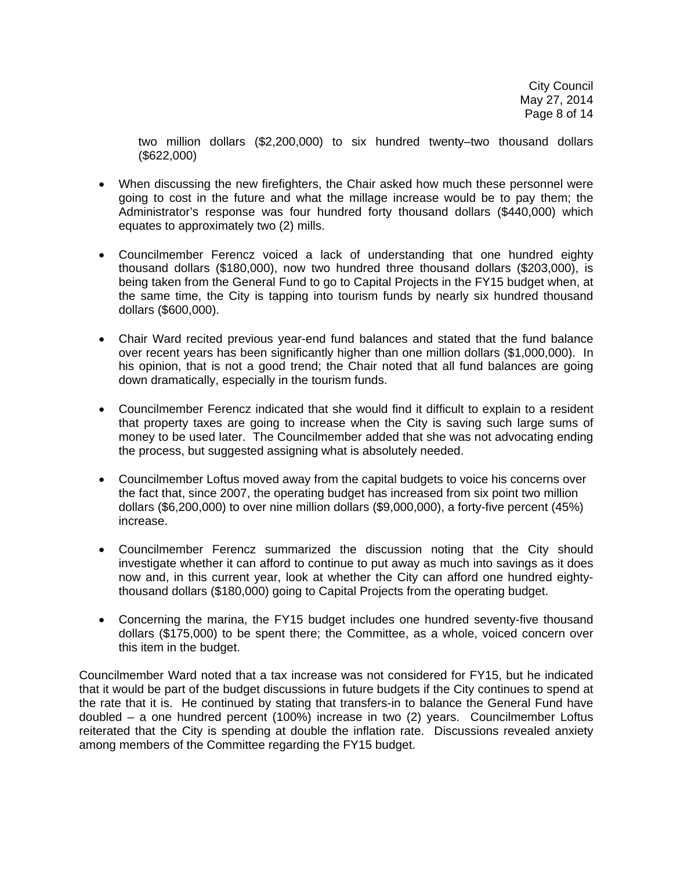two million dollars (\$2,200,000) to six hundred twenty–two thousand dollars (\$622,000)

- When discussing the new firefighters, the Chair asked how much these personnel were going to cost in the future and what the millage increase would be to pay them; the Administrator's response was four hundred forty thousand dollars (\$440,000) which equates to approximately two (2) mills.
- Councilmember Ferencz voiced a lack of understanding that one hundred eighty thousand dollars (\$180,000), now two hundred three thousand dollars (\$203,000), is being taken from the General Fund to go to Capital Projects in the FY15 budget when, at the same time, the City is tapping into tourism funds by nearly six hundred thousand dollars (\$600,000).
- Chair Ward recited previous year-end fund balances and stated that the fund balance over recent years has been significantly higher than one million dollars (\$1,000,000). In his opinion, that is not a good trend; the Chair noted that all fund balances are going down dramatically, especially in the tourism funds.
- Councilmember Ferencz indicated that she would find it difficult to explain to a resident that property taxes are going to increase when the City is saving such large sums of money to be used later. The Councilmember added that she was not advocating ending the process, but suggested assigning what is absolutely needed.
- Councilmember Loftus moved away from the capital budgets to voice his concerns over the fact that, since 2007, the operating budget has increased from six point two million dollars (\$6,200,000) to over nine million dollars (\$9,000,000), a forty-five percent (45%) increase.
- Councilmember Ferencz summarized the discussion noting that the City should investigate whether it can afford to continue to put away as much into savings as it does now and, in this current year, look at whether the City can afford one hundred eightythousand dollars (\$180,000) going to Capital Projects from the operating budget.
- Concerning the marina, the FY15 budget includes one hundred seventy-five thousand dollars (\$175,000) to be spent there; the Committee, as a whole, voiced concern over this item in the budget.

Councilmember Ward noted that a tax increase was not considered for FY15, but he indicated that it would be part of the budget discussions in future budgets if the City continues to spend at the rate that it is. He continued by stating that transfers-in to balance the General Fund have doubled – a one hundred percent (100%) increase in two (2) years. Councilmember Loftus reiterated that the City is spending at double the inflation rate. Discussions revealed anxiety among members of the Committee regarding the FY15 budget.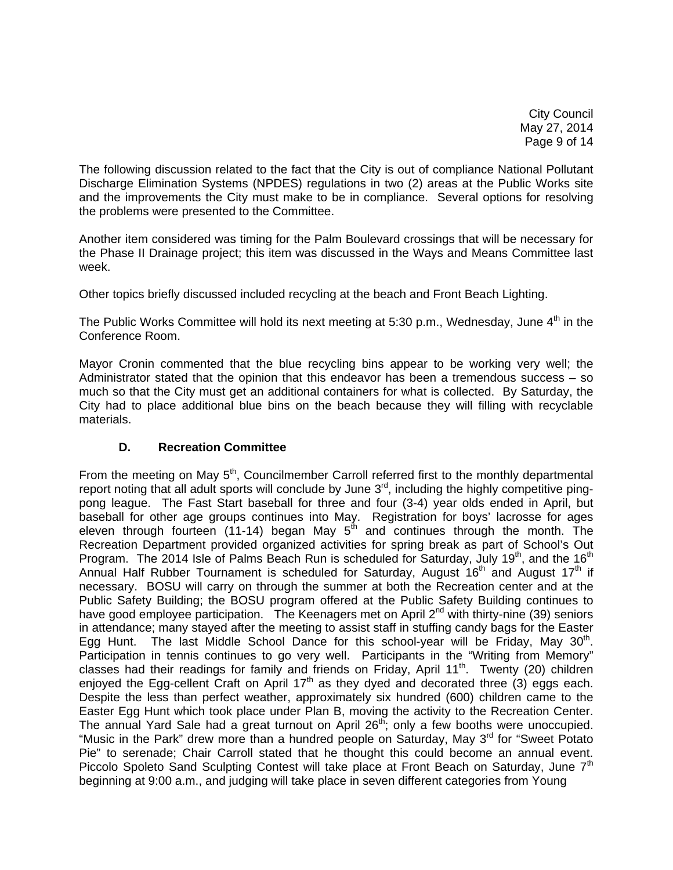City Council May 27, 2014 Page 9 of 14

The following discussion related to the fact that the City is out of compliance National Pollutant Discharge Elimination Systems (NPDES) regulations in two (2) areas at the Public Works site and the improvements the City must make to be in compliance. Several options for resolving the problems were presented to the Committee.

Another item considered was timing for the Palm Boulevard crossings that will be necessary for the Phase II Drainage project; this item was discussed in the Ways and Means Committee last week.

Other topics briefly discussed included recycling at the beach and Front Beach Lighting.

The Public Works Committee will hold its next meeting at 5:30 p.m., Wednesday, June  $4<sup>th</sup>$  in the Conference Room.

Mayor Cronin commented that the blue recycling bins appear to be working very well; the Administrator stated that the opinion that this endeavor has been a tremendous success – so much so that the City must get an additional containers for what is collected. By Saturday, the City had to place additional blue bins on the beach because they will filling with recyclable materials.

# **D. Recreation Committee**

From the meeting on May  $5<sup>th</sup>$ , Councilmember Carroll referred first to the monthly departmental report noting that all adult sports will conclude by June  $3<sup>rd</sup>$ , including the highly competitive pingpong league. The Fast Start baseball for three and four (3-4) year olds ended in April, but baseball for other age groups continues into May. Registration for boys' lacrosse for ages eleven through fourteen (11-14) began May  $5<sup>th</sup>$  and continues through the month. The Recreation Department provided organized activities for spring break as part of School's Out Program. The 2014 Isle of Palms Beach Run is scheduled for Saturday, July 19<sup>th</sup>, and the 16<sup>th</sup> Annual Half Rubber Tournament is scheduled for Saturday, August  $16<sup>th</sup>$  and August  $17<sup>th</sup>$  if necessary. BOSU will carry on through the summer at both the Recreation center and at the Public Safety Building; the BOSU program offered at the Public Safety Building continues to have good employee participation. The Keenagers met on April 2<sup>nd</sup> with thirty-nine (39) seniors in attendance; many stayed after the meeting to assist staff in stuffing candy bags for the Easter Egg Hunt. The last Middle School Dance for this school-year will be Friday, May  $30<sup>th</sup>$ . Participation in tennis continues to go very well. Participants in the "Writing from Memory" classes had their readings for family and friends on Friday, April 11<sup>th</sup>. Twenty (20) children enjoyed the Egg-cellent Craft on April  $17<sup>th</sup>$  as they dyed and decorated three (3) eggs each. Despite the less than perfect weather, approximately six hundred (600) children came to the Easter Egg Hunt which took place under Plan B, moving the activity to the Recreation Center. The annual Yard Sale had a great turnout on April 26<sup>th</sup>; only a few booths were unoccupied. "Music in the Park" drew more than a hundred people on Saturday, May 3<sup>rd</sup> for "Sweet Potato" Pie" to serenade; Chair Carroll stated that he thought this could become an annual event. Piccolo Spoleto Sand Sculpting Contest will take place at Front Beach on Saturday, June 7<sup>th</sup> beginning at 9:00 a.m., and judging will take place in seven different categories from Young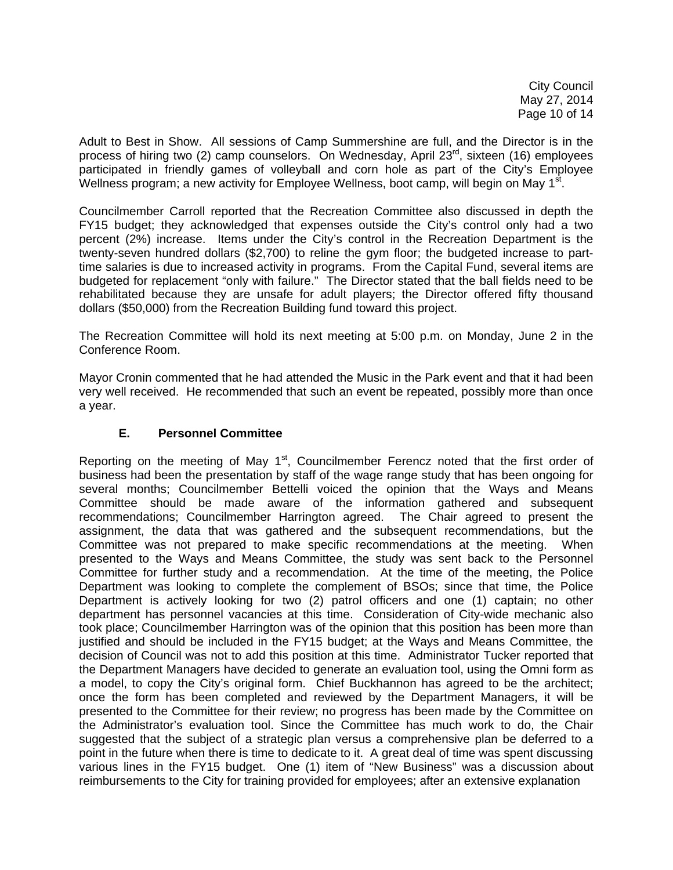City Council May 27, 2014 Page 10 of 14

Adult to Best in Show. All sessions of Camp Summershine are full, and the Director is in the process of hiring two (2) camp counselors. On Wednesday, April  $23<sup>rd</sup>$ , sixteen (16) employees participated in friendly games of volleyball and corn hole as part of the City's Employee Wellness program; a new activity for Employee Wellness, boot camp, will begin on May  $1<sup>st</sup>$ .

Councilmember Carroll reported that the Recreation Committee also discussed in depth the FY15 budget; they acknowledged that expenses outside the City's control only had a two percent (2%) increase. Items under the City's control in the Recreation Department is the twenty-seven hundred dollars (\$2,700) to reline the gym floor; the budgeted increase to parttime salaries is due to increased activity in programs. From the Capital Fund, several items are budgeted for replacement "only with failure." The Director stated that the ball fields need to be rehabilitated because they are unsafe for adult players; the Director offered fifty thousand dollars (\$50,000) from the Recreation Building fund toward this project.

The Recreation Committee will hold its next meeting at 5:00 p.m. on Monday, June 2 in the Conference Room.

Mayor Cronin commented that he had attended the Music in the Park event and that it had been very well received. He recommended that such an event be repeated, possibly more than once a year.

## **E. Personnel Committee**

Reporting on the meeting of May  $1<sup>st</sup>$ , Councilmember Ferencz noted that the first order of business had been the presentation by staff of the wage range study that has been ongoing for several months; Councilmember Bettelli voiced the opinion that the Ways and Means Committee should be made aware of the information gathered and subsequent recommendations; Councilmember Harrington agreed. The Chair agreed to present the assignment, the data that was gathered and the subsequent recommendations, but the Committee was not prepared to make specific recommendations at the meeting. When presented to the Ways and Means Committee, the study was sent back to the Personnel Committee for further study and a recommendation. At the time of the meeting, the Police Department was looking to complete the complement of BSOs; since that time, the Police Department is actively looking for two (2) patrol officers and one (1) captain; no other department has personnel vacancies at this time. Consideration of City-wide mechanic also took place; Councilmember Harrington was of the opinion that this position has been more than justified and should be included in the FY15 budget; at the Ways and Means Committee, the decision of Council was not to add this position at this time. Administrator Tucker reported that the Department Managers have decided to generate an evaluation tool, using the Omni form as a model, to copy the City's original form. Chief Buckhannon has agreed to be the architect; once the form has been completed and reviewed by the Department Managers, it will be presented to the Committee for their review; no progress has been made by the Committee on the Administrator's evaluation tool. Since the Committee has much work to do, the Chair suggested that the subject of a strategic plan versus a comprehensive plan be deferred to a point in the future when there is time to dedicate to it. A great deal of time was spent discussing various lines in the FY15 budget. One (1) item of "New Business" was a discussion about reimbursements to the City for training provided for employees; after an extensive explanation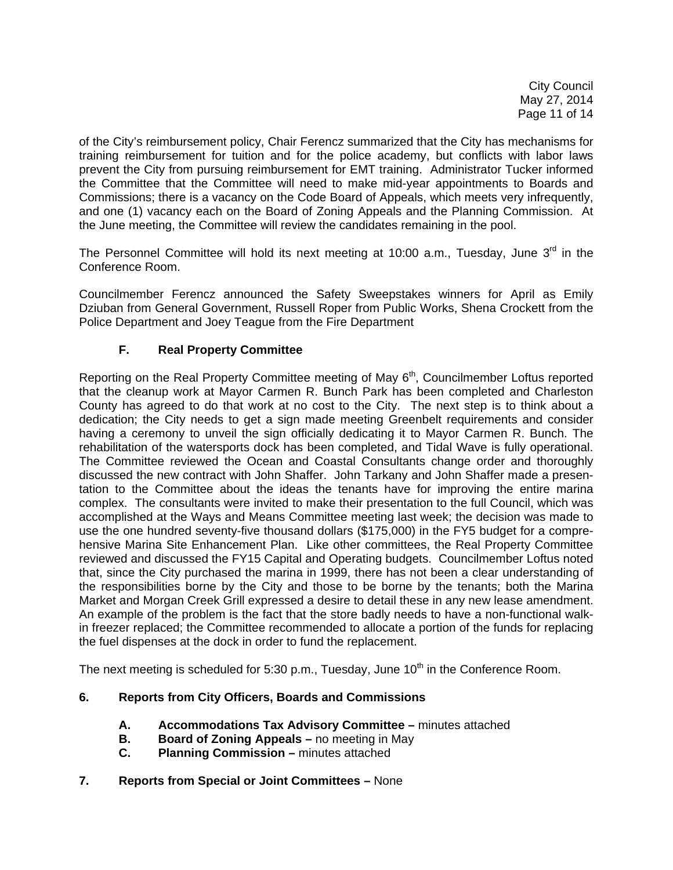City Council May 27, 2014 Page 11 of 14

of the City's reimbursement policy, Chair Ferencz summarized that the City has mechanisms for training reimbursement for tuition and for the police academy, but conflicts with labor laws prevent the City from pursuing reimbursement for EMT training. Administrator Tucker informed the Committee that the Committee will need to make mid-year appointments to Boards and Commissions; there is a vacancy on the Code Board of Appeals, which meets very infrequently, and one (1) vacancy each on the Board of Zoning Appeals and the Planning Commission. At the June meeting, the Committee will review the candidates remaining in the pool.

The Personnel Committee will hold its next meeting at 10:00 a.m., Tuesday, June  $3<sup>rd</sup>$  in the Conference Room.

Councilmember Ferencz announced the Safety Sweepstakes winners for April as Emily Dziuban from General Government, Russell Roper from Public Works, Shena Crockett from the Police Department and Joey Teague from the Fire Department

# **F. Real Property Committee**

Reporting on the Real Property Committee meeting of May 6<sup>th</sup>, Councilmember Loftus reported that the cleanup work at Mayor Carmen R. Bunch Park has been completed and Charleston County has agreed to do that work at no cost to the City. The next step is to think about a dedication; the City needs to get a sign made meeting Greenbelt requirements and consider having a ceremony to unveil the sign officially dedicating it to Mayor Carmen R. Bunch. The rehabilitation of the watersports dock has been completed, and Tidal Wave is fully operational. The Committee reviewed the Ocean and Coastal Consultants change order and thoroughly discussed the new contract with John Shaffer. John Tarkany and John Shaffer made a presentation to the Committee about the ideas the tenants have for improving the entire marina complex. The consultants were invited to make their presentation to the full Council, which was accomplished at the Ways and Means Committee meeting last week; the decision was made to use the one hundred seventy-five thousand dollars (\$175,000) in the FY5 budget for a comprehensive Marina Site Enhancement Plan. Like other committees, the Real Property Committee reviewed and discussed the FY15 Capital and Operating budgets. Councilmember Loftus noted that, since the City purchased the marina in 1999, there has not been a clear understanding of the responsibilities borne by the City and those to be borne by the tenants; both the Marina Market and Morgan Creek Grill expressed a desire to detail these in any new lease amendment. An example of the problem is the fact that the store badly needs to have a non-functional walkin freezer replaced; the Committee recommended to allocate a portion of the funds for replacing the fuel dispenses at the dock in order to fund the replacement.

The next meeting is scheduled for 5:30 p.m., Tuesday, June  $10<sup>th</sup>$  in the Conference Room.

## **6. Reports from City Officers, Boards and Commissions**

- **A. Accommodations Tax Advisory Committee** minutes attached
- **B. Board of Zoning Appeals** no meeting in May
- **C. Planning Commission** minutes attached
- **7. Reports from Special or Joint Committees** None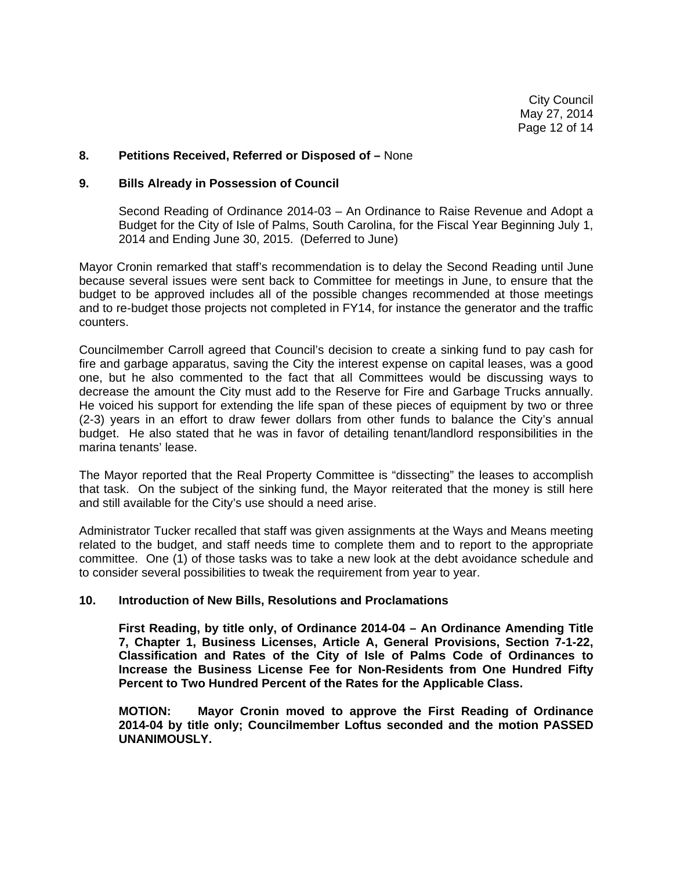#### **8. Petitions Received, Referred or Disposed of –** None

#### **9. Bills Already in Possession of Council**

 Second Reading of Ordinance 2014-03 – An Ordinance to Raise Revenue and Adopt a Budget for the City of Isle of Palms, South Carolina, for the Fiscal Year Beginning July 1, 2014 and Ending June 30, 2015. (Deferred to June)

Mayor Cronin remarked that staff's recommendation is to delay the Second Reading until June because several issues were sent back to Committee for meetings in June, to ensure that the budget to be approved includes all of the possible changes recommended at those meetings and to re-budget those projects not completed in FY14, for instance the generator and the traffic counters.

Councilmember Carroll agreed that Council's decision to create a sinking fund to pay cash for fire and garbage apparatus, saving the City the interest expense on capital leases, was a good one, but he also commented to the fact that all Committees would be discussing ways to decrease the amount the City must add to the Reserve for Fire and Garbage Trucks annually. He voiced his support for extending the life span of these pieces of equipment by two or three (2-3) years in an effort to draw fewer dollars from other funds to balance the City's annual budget. He also stated that he was in favor of detailing tenant/landlord responsibilities in the marina tenants' lease.

The Mayor reported that the Real Property Committee is "dissecting" the leases to accomplish that task. On the subject of the sinking fund, the Mayor reiterated that the money is still here and still available for the City's use should a need arise.

Administrator Tucker recalled that staff was given assignments at the Ways and Means meeting related to the budget, and staff needs time to complete them and to report to the appropriate committee. One (1) of those tasks was to take a new look at the debt avoidance schedule and to consider several possibilities to tweak the requirement from year to year.

#### **10. Introduction of New Bills, Resolutions and Proclamations**

 **First Reading, by title only, of Ordinance 2014-04 – An Ordinance Amending Title 7, Chapter 1, Business Licenses, Article A, General Provisions, Section 7-1-22, Classification and Rates of the City of Isle of Palms Code of Ordinances to Increase the Business License Fee for Non-Residents from One Hundred Fifty Percent to Two Hundred Percent of the Rates for the Applicable Class.** 

 **MOTION: Mayor Cronin moved to approve the First Reading of Ordinance 2014-04 by title only; Councilmember Loftus seconded and the motion PASSED UNANIMOUSLY.**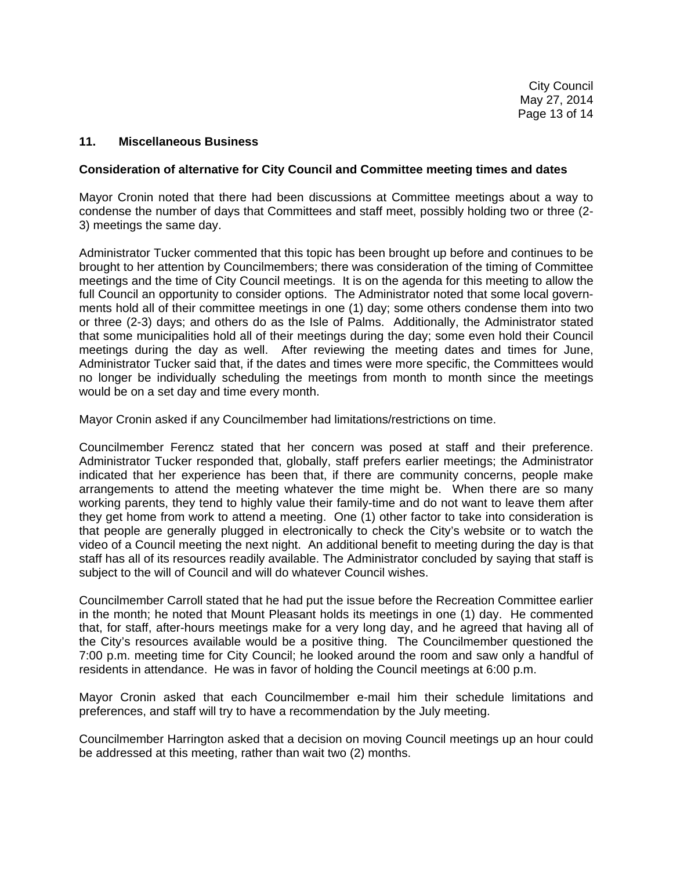### **11. Miscellaneous Business**

### **Consideration of alternative for City Council and Committee meeting times and dates**

Mayor Cronin noted that there had been discussions at Committee meetings about a way to condense the number of days that Committees and staff meet, possibly holding two or three (2- 3) meetings the same day.

Administrator Tucker commented that this topic has been brought up before and continues to be brought to her attention by Councilmembers; there was consideration of the timing of Committee meetings and the time of City Council meetings. It is on the agenda for this meeting to allow the full Council an opportunity to consider options. The Administrator noted that some local governments hold all of their committee meetings in one (1) day; some others condense them into two or three (2-3) days; and others do as the Isle of Palms. Additionally, the Administrator stated that some municipalities hold all of their meetings during the day; some even hold their Council meetings during the day as well. After reviewing the meeting dates and times for June, Administrator Tucker said that, if the dates and times were more specific, the Committees would no longer be individually scheduling the meetings from month to month since the meetings would be on a set day and time every month.

Mayor Cronin asked if any Councilmember had limitations/restrictions on time.

Councilmember Ferencz stated that her concern was posed at staff and their preference. Administrator Tucker responded that, globally, staff prefers earlier meetings; the Administrator indicated that her experience has been that, if there are community concerns, people make arrangements to attend the meeting whatever the time might be. When there are so many working parents, they tend to highly value their family-time and do not want to leave them after they get home from work to attend a meeting. One (1) other factor to take into consideration is that people are generally plugged in electronically to check the City's website or to watch the video of a Council meeting the next night. An additional benefit to meeting during the day is that staff has all of its resources readily available. The Administrator concluded by saying that staff is subject to the will of Council and will do whatever Council wishes.

Councilmember Carroll stated that he had put the issue before the Recreation Committee earlier in the month; he noted that Mount Pleasant holds its meetings in one (1) day. He commented that, for staff, after-hours meetings make for a very long day, and he agreed that having all of the City's resources available would be a positive thing. The Councilmember questioned the 7:00 p.m. meeting time for City Council; he looked around the room and saw only a handful of residents in attendance. He was in favor of holding the Council meetings at 6:00 p.m.

Mayor Cronin asked that each Councilmember e-mail him their schedule limitations and preferences, and staff will try to have a recommendation by the July meeting.

Councilmember Harrington asked that a decision on moving Council meetings up an hour could be addressed at this meeting, rather than wait two (2) months.